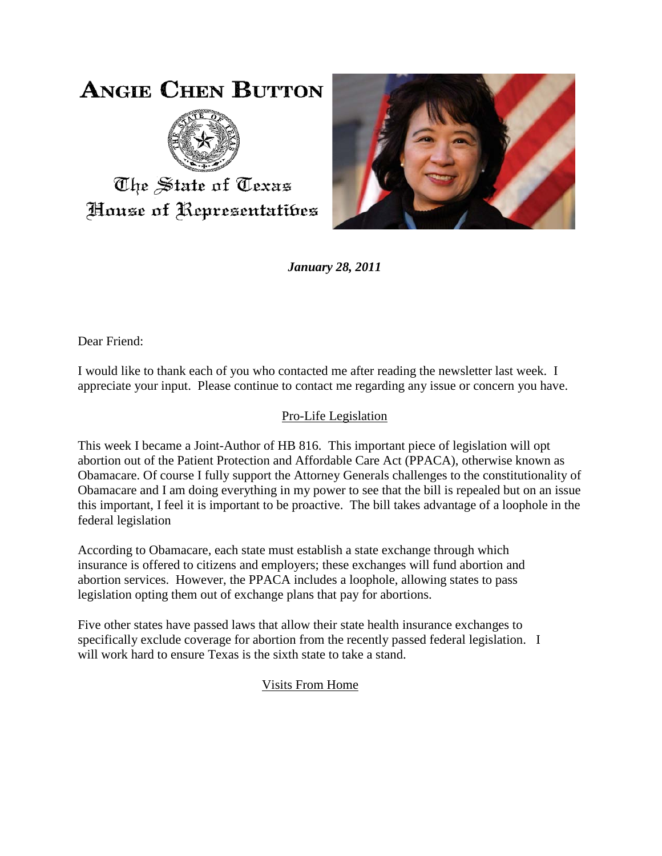## **ANGIE CHEN BUTTON**



The State of Texas House of Representatibes



*January 28, 2011*

Dear Friend:

I would like to thank each of you who contacted me after reading the newsletter last week. I appreciate your input. Please continue to contact me regarding any issue or concern you have.

## Pro-Life Legislation

This week I became a Joint-Author of HB 816. This important piece of legislation will opt abortion out of the Patient Protection and Affordable Care Act (PPACA), otherwise known as Obamacare. Of course I fully support the Attorney Generals challenges to the constitutionality of Obamacare and I am doing everything in my power to see that the bill is repealed but on an issue this important, I feel it is important to be proactive. The bill takes advantage of a loophole in the federal legislation

According to Obamacare, each state must establish a state exchange through which insurance is offered to citizens and employers; these exchanges will fund abortion and abortion services. However, the PPACA includes a loophole, allowing states to pass legislation opting them out of exchange plans that pay for abortions.

Five other states have passed laws that allow their state health insurance exchanges to specifically exclude coverage for abortion from the recently passed federal legislation. I will work hard to ensure Texas is the sixth state to take a stand.

## Visits From Home